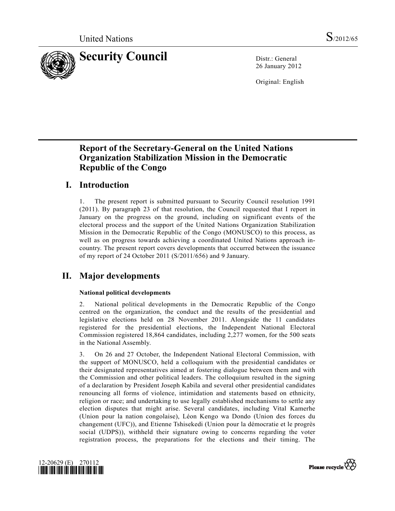

26 January 2012

Original: English

# **Report of the Secretary-General on the United Nations Organization Stabilization Mission in the Democratic Republic of the Congo**

## **I. Introduction**

1. The present report is submitted pursuant to Security Council resolution 1991 (2011). By paragraph 23 of that resolution, the Council requested that I report in January on the progress on the ground, including on significant events of the electoral process and the support of the United Nations Organization Stabilization Mission in the Democratic Republic of the Congo (MONUSCO) to this process, as well as on progress towards achieving a coordinated United Nations approach incountry. The present report covers developments that occurred between the issuance of my report of 24 October 2011 (S/2011/656) and 9 January.

# **II. Major developments**

## **National political developments**

2. National political developments in the Democratic Republic of the Congo centred on the organization, the conduct and the results of the presidential and legislative elections held on 28 November 2011. Alongside the 11 candidates registered for the presidential elections, the Independent National Electoral Commission registered 18,864 candidates, including 2,277 women, for the 500 seats in the National Assembly.

3. On 26 and 27 October, the Independent National Electoral Commission, with the support of MONUSCO, held a colloquium with the presidential candidates or their designated representatives aimed at fostering dialogue between them and with the Commission and other political leaders. The colloquium resulted in the signing of a declaration by President Joseph Kabila and several other presidential candidates renouncing all forms of violence, intimidation and statements based on ethnicity, religion or race; and undertaking to use legally established mechanisms to settle any election disputes that might arise. Several candidates, including Vital Kamerhe (Union pour la nation congolaise), Léon Kengo wa Dondo (Union des forces du changement (UFC)), and Etienne Tshisekedi (Union pour la démocratie et le progrès social (UDPS)), withheld their signature owing to concerns regarding the voter registration process, the preparations for the elections and their timing. The



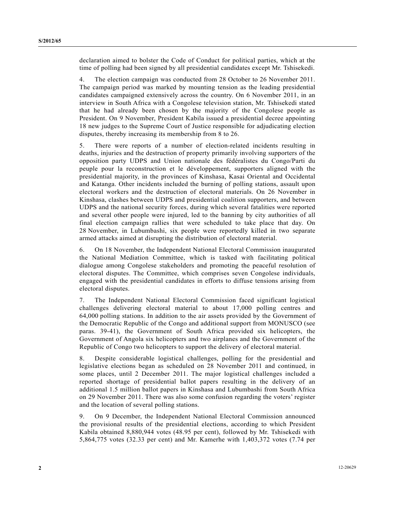declaration aimed to bolster the Code of Conduct for political parties, which at the time of polling had been signed by all presidential candidates except Mr. Tshisekedi.

4. The election campaign was conducted from 28 October to 26 November 2011. The campaign period was marked by mounting tension as the leading presidential candidates campaigned extensively across the country. On 6 November 2011, in an interview in South Africa with a Congolese television station, Mr. Tshisekedi stated that he had already been chosen by the majority of the Congolese people as President. On 9 November, President Kabila issued a presidential decree appointing 18 new judges to the Supreme Court of Justice responsible for adjudicating election disputes, thereby increasing its membership from 8 to 26.

5. There were reports of a number of election-related incidents resulting in deaths, injuries and the destruction of property primarily involving supporters of the opposition party UDPS and Union nationale des fédéralistes du Congo/Parti du peuple pour la reconstruction et le développement, supporters aligned with the presidential majority, in the provinces of Kinshasa, Kasai Oriental and Occidental and Katanga. Other incidents included the burning of polling stations, assault upon electoral workers and the destruction of electoral materials. On 26 November in Kinshasa, clashes between UDPS and presidential coalition supporters, and between UDPS and the national security forces, during which several fatalities were reported and several other people were injured, led to the banning by city authorities of all final election campaign rallies that were scheduled to take place that day. On 28 November, in Lubumbashi, six people were reportedly killed in two separate armed attacks aimed at disrupting the distribution of electoral material.

6. On 18 November, the Independent National Electoral Commission inaugurated the National Mediation Committee, which is tasked with facilitating political dialogue among Congolese stakeholders and promoting the peaceful resolution of electoral disputes. The Committee, which comprises seven Congolese individuals, engaged with the presidential candidates in efforts to diffuse tensions arising from electoral disputes.

7. The Independent National Electoral Commission faced significant logistical challenges delivering electoral material to about 17,000 polling centres and 64,000 polling stations. In addition to the air assets provided by the Government of the Democratic Republic of the Congo and additional support from MONUSCO (see paras. 39-41), the Government of South Africa provided six helicopters, the Government of Angola six helicopters and two airplanes and the Government of the Republic of Congo two helicopters to support the delivery of electoral material.

8. Despite considerable logistical challenges, polling for the presidential and legislative elections began as scheduled on 28 November 2011 and continued, in some places, until 2 December 2011. The major logistical challenges included a reported shortage of presidential ballot papers resulting in the delivery of an additional 1.5 million ballot papers in Kinshasa and Lubumbashi from South Africa on 29 November 2011. There was also some confusion regarding the voters' register and the location of several polling stations.

9. On 9 December, the Independent National Electoral Commission announced the provisional results of the presidential elections, according to which President Kabila obtained 8,880,944 votes (48.95 per cent), followed by Mr. Tshisekedi with 5,864,775 votes (32.33 per cent) and Mr. Kamerhe with 1,403,372 votes (7.74 per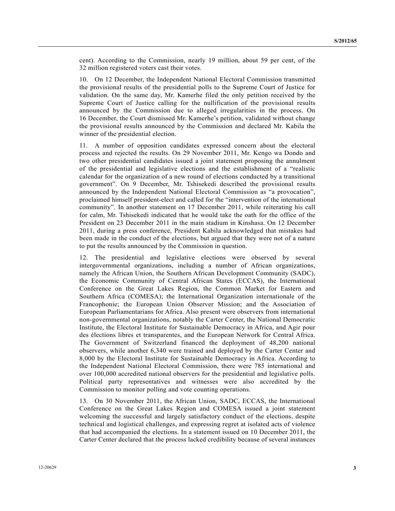cent). According to the Commission, nearly 19 million, about 59 per cent, of the 32 million registered voters cast their votes.

10. On 12 December, the Independent National Electoral Commission transmitted the provisional results of the presidential polls to the Supreme Court of Justice for validation. On the same day, Mr. Kamerhe filed the only petition received by the Supreme Court of Justice calling for the nullification of the provisional results announced by the Commission due to alleged irregularities in the process. On 16 December, the Court dismissed Mr. Kamerhe's petition, validated without change the provisional results announced by the Commission and declared Mr. Kabila the winner of the presidential election.

11. A number of opposition candidates expressed concern about the electoral process and rejected the results. On 29 November 2011, Mr. Kengo wa Dondo and two other presidential candidates issued a joint statement proposing the annulment of the presidential and legislative elections and the establishment of a "realistic calendar for the organization of a new round of elections conducted by a transitional government". On 9 December, Mr. Tshisekedi described the provisional results announced by the Independent National Electoral Commission as "a provocation", proclaimed himself president-elect and called for the "intervention of the international community". In another statement on 17 December 2011, while reiterating his call for calm, Mr. Tshisekedi indicated that he would take the oath for the office of the President on 23 December 2011 in the main stadium in Kinshasa. On 12 December 2011, during a press conference, President Kabila acknowledged that mistakes had been made in the conduct of the elections, but argued that they were not of a nature to put the results announced by the Commission in question.

12. The presidential and legislative elections were observed by several intergovernmental organizations, including a number of African organizations, namely the African Union, the Southern African Development Community (SADC), the Economic Community of Central African States (ECCAS), the International Conference on the Great Lakes Region, the Common Market for Eastern and Southern Africa (COMESA); the International Organization internationale of the Francophonie; the European Union Observer Mission; and the Association of European Parliamentarians for Africa. Also present were observers from international non-governmental organizations, notably the Carter Center, the National Democratic Institute, the Electoral Institute for Sustainable Democracy in Africa, and Agir pour des élections libres et transparentes, and the European Network for Central Africa. The Government of Switzerland financed the deployment of 48,200 national observers, while another 6,340 were trained and deployed by the Carter Center and 8,000 by the Electoral Institute for Sustainable Democracy in Africa. According to the Independent National Electoral Commission, there were 785 international and over 100,000 accredited national observers for the presidential and legislative polls. Political party representatives and witnesses were also accredited by the Commission to monitor polling and vote counting operations.

13. On 30 November 2011, the African Union, SADC, ECCAS, the International Conference on the Great Lakes Region and COMESA issued a joint statement welcoming the successful and largely satisfactory conduct of the elections, despite technical and logistical challenges, and expressing regret at isolated acts of violence that had accompanied the elections. In a statement issued on 10 December 2011, the Carter Center declared that the process lacked credibility because of several instances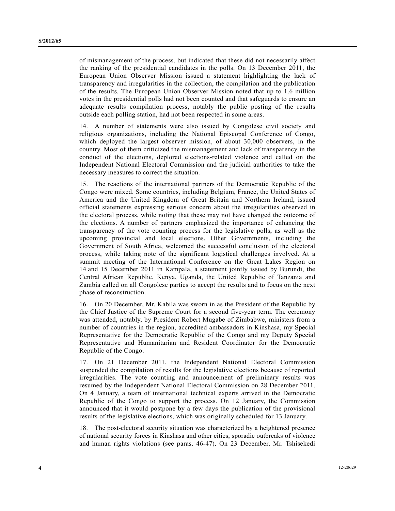of mismanagement of the process, but indicated that these did not necessarily affect the ranking of the presidential candidates in the polls. On 13 December 2011, the European Union Observer Mission issued a statement highlighting the lack of transparency and irregularities in the collection, the compilation and the publication of the results. The European Union Observer Mission noted that up to 1.6 million votes in the presidential polls had not been counted and that safeguards to ensure an adequate results compilation process, notably the public posting of the results outside each polling station, had not been respected in some areas.

14. A number of statements were also issued by Congolese civil society and religious organizations, including the National Episcopal Conference of Congo, which deployed the largest observer mission, of about 30,000 observers, in the country. Most of them criticized the mismanagement and lack of transparency in the conduct of the elections, deplored elections-related violence and called on the Independent National Electoral Commission and the judicial authorities to take the necessary measures to correct the situation.

15. The reactions of the international partners of the Democratic Republic of the Congo were mixed. Some countries, including Belgium, France, the United States of America and the United Kingdom of Great Britain and Northern Ireland, issued official statements expressing serious concern about the irregularities observed in the electoral process, while noting that these may not have changed the outcome of the elections. A number of partners emphasized the importance of enhancing the transparency of the vote counting process for the legislative polls, as well as the upcoming provincial and local elections. Other Governments, including the Government of South Africa, welcomed the successful conclusion of the electoral process, while taking note of the significant logistical challenges involved. At a summit meeting of the International Conference on the Great Lakes Region on 14 and 15 December 2011 in Kampala, a statement jointly issued by Burundi, the Central African Republic, Kenya, Uganda, the United Republic of Tanzania and Zambia called on all Congolese parties to accept the results and to focus on the next phase of reconstruction.

16. On 20 December, Mr. Kabila was sworn in as the President of the Republic by the Chief Justice of the Supreme Court for a second five-year term. The ceremony was attended, notably, by President Robert Mugabe of Zimbabwe, ministers from a number of countries in the region, accredited ambassadors in Kinshasa, my Special Representative for the Democratic Republic of the Congo and my Deputy Special Representative and Humanitarian and Resident Coordinator for the Democratic Republic of the Congo.

17. On 21 December 2011, the Independent National Electoral Commission suspended the compilation of results for the legislative elections because of reported irregularities. The vote counting and announcement of preliminary results was resumed by the Independent National Electoral Commission on 28 December 2011. On 4 January, a team of international technical experts arrived in the Democratic Republic of the Congo to support the process. On 12 January, the Commission announced that it would postpone by a few days the publication of the provisional results of the legislative elections, which was originally scheduled for 13 January.

18. The post-electoral security situation was characterized by a heightened presence of national security forces in Kinshasa and other cities, sporadic outbreaks of violence and human rights violations (see paras. 46-47). On 23 December, Mr. Tshisekedi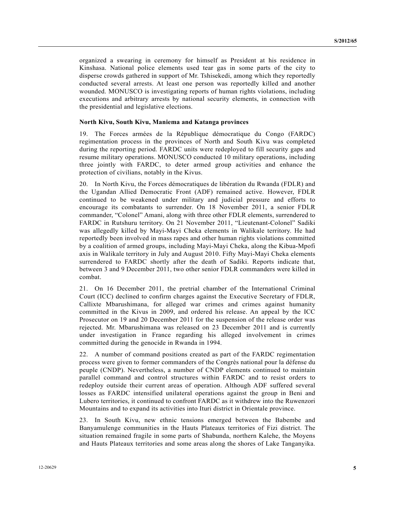organized a swearing in ceremony for himself as President at his residence in Kinshasa. National police elements used tear gas in some parts of the city to disperse crowds gathered in support of Mr. Tshisekedi, among which they reportedly conducted several arrests. At least one person was reportedly killed and another wounded. MONUSCO is investigating reports of human rights violations, including executions and arbitrary arrests by national security elements, in connection with the presidential and legislative elections.

#### **North Kivu, South Kivu, Maniema and Katanga provinces**

19. The Forces armées de la République démocratique du Congo (FARDC) regimentation process in the provinces of North and South Kivu was completed during the reporting period. FARDC units were redeployed to fill security gaps and resume military operations. MONUSCO conducted 10 military operations, including three jointly with FARDC, to deter armed group activities and enhance the protection of civilians, notably in the Kivus.

20. In North Kivu, the Forces démocratiques de libération du Rwanda (FDLR) and the Ugandan Allied Democratic Front (ADF) remained active. However, FDLR continued to be weakened under military and judicial pressure and efforts to encourage its combatants to surrender. On 18 November 2011, a senior FDLR commander, "Colonel" Amani, along with three other FDLR elements, surrendered to FARDC in Rutshuru territory. On 21 November 2011, "Lieutenant-Colonel" Sadiki was allegedly killed by Mayi-Mayi Cheka elements in Walikale territory. He had reportedly been involved in mass rapes and other human rights violations committed by a coalition of armed groups, including Mayi-Mayi Cheka, along the Kibua-Mpofi axis in Walikale territory in July and August 2010. Fifty Mayi-Mayi Cheka elements surrendered to FARDC shortly after the death of Sadiki. Reports indicate that, between 3 and 9 December 2011, two other senior FDLR commanders were killed in combat.

21. On 16 December 2011, the pretrial chamber of the International Criminal Court (ICC) declined to confirm charges against the Executive Secretary of FDLR, Callixte Mbarushimana, for alleged war crimes and crimes against humanity committed in the Kivus in 2009, and ordered his release. An appeal by the ICC Prosecutor on 19 and 20 December 2011 for the suspension of the release order was rejected. Mr. Mbarushimana was released on 23 December 2011 and is currently under investigation in France regarding his alleged involvement in crimes committed during the genocide in Rwanda in 1994.

22. A number of command positions created as part of the FARDC regimentation process were given to former commanders of the Congrès national pour la défense du peuple (CNDP). Nevertheless, a number of CNDP elements continued to maintain parallel command and control structures within FARDC and to resist orders to redeploy outside their current areas of operation. Although ADF suffered several losses as FARDC intensified unilateral operations against the group in Beni and Lubero territories, it continued to confront FARDC as it withdrew into the Ruwenzori Mountains and to expand its activities into Ituri district in Orientale province.

23. In South Kivu, new ethnic tensions emerged between the Babembe and Banyamulenge communities in the Hauts Plateaux territories of Fizi district. The situation remained fragile in some parts of Shabunda, northern Kalehe, the Moyens and Hauts Plateaux territories and some areas along the shores of Lake Tanganyika.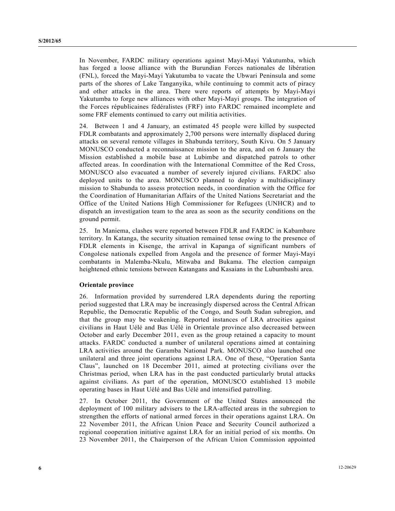In November, FARDC military operations against Mayi-Mayi Yakutumba, which has forged a loose alliance with the Burundian Forces nationales de libération (FNL), forced the Mayi-Mayi Yakutumba to vacate the Ubwari Peninsula and some parts of the shores of Lake Tanganyika, while continuing to commit acts of piracy and other attacks in the area. There were reports of attempts by Mayi-Mayi Yakutumba to forge new alliances with other Mayi-Mayi groups. The integration of the Forces républicaines fédéralistes (FRF) into FARDC remained incomplete and some FRF elements continued to carry out militia activities.

24. Between 1 and 4 January, an estimated 45 people were killed by suspected FDLR combatants and approximately 2,700 persons were internally displaced during attacks on several remote villages in Shabunda territory, South Kivu. On 5 January MONUSCO conducted a reconnaissance mission to the area, and on 6 January the Mission established a mobile base at Lubimbe and dispatched patrols to other affected areas. In coordination with the International Committee of the Red Cross, MONUSCO also evacuated a number of severely injured civilians. FARDC also deployed units to the area. MONUSCO planned to deploy a multidisciplinary mission to Shabunda to assess protection needs, in coordination with the Office for the Coordination of Humanitarian Affairs of the United Nations Secretariat and the Office of the United Nations High Commissioner for Refugees (UNHCR) and to dispatch an investigation team to the area as soon as the security conditions on the ground permit.

25. In Maniema, clashes were reported between FDLR and FARDC in Kabambare territory. In Katanga, the security situation remained tense owing to the presence of FDLR elements in Kisenge, the arrival in Kapanga of significant numbers of Congolese nationals expelled from Angola and the presence of former Mayi-Mayi combatants in Malemba-Nkulu, Mitwaba and Bukama. The election campaign heightened ethnic tensions between Katangans and Kasaians in the Lubumbashi area.

### **Orientale province**

26. Information provided by surrendered LRA dependents during the reporting period suggested that LRA may be increasingly dispersed across the Central African Republic, the Democratic Republic of the Congo, and South Sudan subregion, and that the group may be weakening. Reported instances of LRA atrocities against civilians in Haut Uélé and Bas Uélé in Orientale province also decreased between October and early December 2011, even as the group retained a capacity to mount attacks. FARDC conducted a number of unilateral operations aimed at containing LRA activities around the Garamba National Park. MONUSCO also launched one unilateral and three joint operations against LRA. One of these, "Operation Santa Claus", launched on 18 December 2011, aimed at protecting civilians over the Christmas period, when LRA has in the past conducted particularly brutal attacks against civilians. As part of the operation, MONUSCO established 13 mobile operating bases in Haut Uélé and Bas Uélé and intensified patrolling.

27. In October 2011, the Government of the United States announced the deployment of 100 military advisers to the LRA-affected areas in the subregion to strengthen the efforts of national armed forces in their operations against LRA. On 22 November 2011, the African Union Peace and Security Council authorized a regional cooperation initiative against LRA for an initial period of six months. On 23 November 2011, the Chairperson of the African Union Commission appointed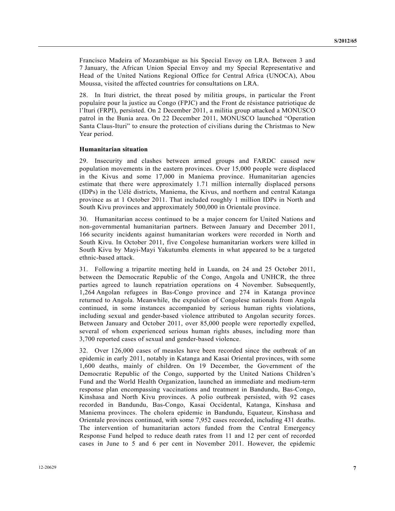Francisco Madeira of Mozambique as his Special Envoy on LRA. Between 3 and 7 January, the African Union Special Envoy and my Special Representative and Head of the United Nations Regional Office for Central Africa (UNOCA), Abou Moussa, visited the affected countries for consultations on LRA.

28. In Ituri district, the threat posed by militia groups, in particular the Front populaire pour la justice au Congo (FPJC) and the Front de résistance patriotique de l'Ituri (FRPI), persisted. On 2 December 2011, a militia group attacked a MONUSCO patrol in the Bunia area. On 22 December 2011, MONUSCO launched "Operation Santa Claus-Ituri" to ensure the protection of civilians during the Christmas to New Year period.

### **Humanitarian situation**

29. Insecurity and clashes between armed groups and FARDC caused new population movements in the eastern provinces. Over 15,000 people were displaced in the Kivus and some 17,000 in Maniema province. Humanitarian agencies estimate that there were approximately 1.71 million internally displaced persons (IDPs) in the Uélé districts, Maniema, the Kivus, and northern and central Katanga province as at 1 October 2011. That included roughly 1 million IDPs in North and South Kivu provinces and approximately 500,000 in Orientale province.

30. Humanitarian access continued to be a major concern for United Nations and non-governmental humanitarian partners. Between January and December 2011, 166 security incidents against humanitarian workers were recorded in North and South Kivu. In October 2011, five Congolese humanitarian workers were killed in South Kivu by Mayi-Mayi Yakutumba elements in what appeared to be a targeted ethnic-based attack.

31. Following a tripartite meeting held in Luanda, on 24 and 25 October 2011, between the Democratic Republic of the Congo, Angola and UNHCR, the three parties agreed to launch repatriation operations on 4 November. Subsequently, 1,264 Angolan refugees in Bas-Congo province and 274 in Katanga province returned to Angola. Meanwhile, the expulsion of Congolese nationals from Angola continued, in some instances accompanied by serious human rights violations, including sexual and gender-based violence attributed to Angolan security forces. Between January and October 2011, over 85,000 people were reportedly expelled, several of whom experienced serious human rights abuses, including more than 3,700 reported cases of sexual and gender-based violence.

32. Over 126,000 cases of measles have been recorded since the outbreak of an epidemic in early 2011, notably in Katanga and Kasai Oriental provinces, with some 1,600 deaths, mainly of children. On 19 December, the Government of the Democratic Republic of the Congo, supported by the United Nations Children's Fund and the World Health Organization, launched an immediate and medium-term response plan encompassing vaccinations and treatment in Bandundu, Bas-Congo, Kinshasa and North Kivu provinces. A polio outbreak persisted, with 92 cases recorded in Bandundu, Bas-Congo, Kasai Occidental, Katanga, Kinshasa and Maniema provinces. The cholera epidemic in Bandundu, Equateur, Kinshasa and Orientale provinces continued, with some 7,952 cases recorded, including 431 deaths. The intervention of humanitarian actors funded from the Central Emergency Response Fund helped to reduce death rates from 11 and 12 per cent of recorded cases in June to 5 and 6 per cent in November 2011. However, the epidemic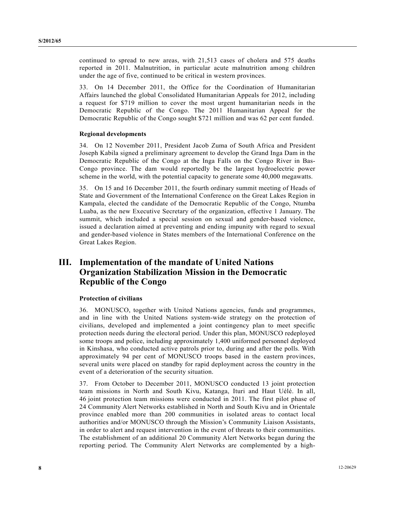continued to spread to new areas, with 21,513 cases of cholera and 575 deaths reported in 2011. Malnutrition, in particular acute malnutrition among children under the age of five, continued to be critical in western provinces.

33. On 14 December 2011, the Office for the Coordination of Humanitarian Affairs launched the global Consolidated Humanitarian Appeals for 2012, including a request for \$719 million to cover the most urgent humanitarian needs in the Democratic Republic of the Congo. The 2011 Humanitarian Appeal for the Democratic Republic of the Congo sought \$721 million and was 62 per cent funded.

## **Regional developments**

34. On 12 November 2011, President Jacob Zuma of South Africa and President Joseph Kabila signed a preliminary agreement to develop the Grand Inga Dam in the Democratic Republic of the Congo at the Inga Falls on the Congo River in Bas-Congo province. The dam would reportedly be the largest hydroelectric power scheme in the world, with the potential capacity to generate some 40,000 megawatts.

35. On 15 and 16 December 2011, the fourth ordinary summit meeting of Heads of State and Government of the International Conference on the Great Lakes Region in Kampala, elected the candidate of the Democratic Republic of the Congo, Ntumba Luaba, as the new Executive Secretary of the organization, effective 1 January. The summit, which included a special session on sexual and gender-based violence, issued a declaration aimed at preventing and ending impunity with regard to sexual and gender-based violence in States members of the International Conference on the Great Lakes Region.

## **III. Implementation of the mandate of United Nations Organization Stabilization Mission in the Democratic Republic of the Congo**

## **Protection of civilians**

36. MONUSCO, together with United Nations agencies, funds and programmes, and in line with the United Nations system-wide strategy on the protection of civilians, developed and implemented a joint contingency plan to meet specific protection needs during the electoral period. Under this plan, MONUSCO redeployed some troops and police, including approximately 1,400 uniformed personnel deployed in Kinshasa, who conducted active patrols prior to, during and after the polls. With approximately 94 per cent of MONUSCO troops based in the eastern provinces, several units were placed on standby for rapid deployment across the country in the event of a deterioration of the security situation.

37. From October to December 2011, MONUSCO conducted 13 joint protection team missions in North and South Kivu, Katanga, Ituri and Haut Uélé. In all, 46 joint protection team missions were conducted in 2011. The first pilot phase of 24 Community Alert Networks established in North and South Kivu and in Orientale province enabled more than 200 communities in isolated areas to contact local authorities and/or MONUSCO through the Mission's Community Liaison Assistants, in order to alert and request intervention in the event of threats to their communities. The establishment of an additional 20 Community Alert Networks began during the reporting period. The Community Alert Networks are complemented by a high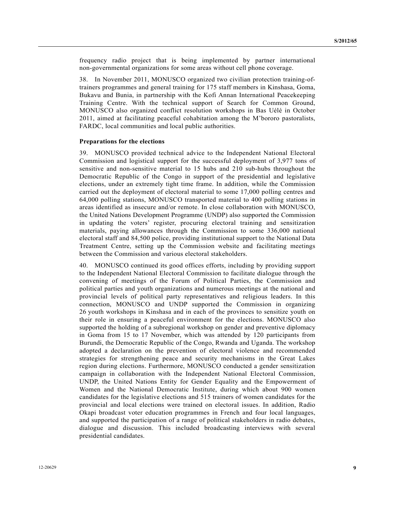frequency radio project that is being implemented by partner international non-governmental organizations for some areas without cell phone coverage.

38. In November 2011, MONUSCO organized two civilian protection training-oftrainers programmes and general training for 175 staff members in Kinshasa, Goma, Bukavu and Bunia, in partnership with the Kofi Annan International Peacekeeping Training Centre. With the technical support of Search for Common Ground, MONUSCO also organized conflict resolution workshops in Bas Uélé in October 2011, aimed at facilitating peaceful cohabitation among the M'bororo pastoralists, FARDC, local communities and local public authorities.

### **Preparations for the elections**

39. MONUSCO provided technical advice to the Independent National Electoral Commission and logistical support for the successful deployment of 3,977 tons of sensitive and non-sensitive material to 15 hubs and 210 sub-hubs throughout the Democratic Republic of the Congo in support of the presidential and legislative elections, under an extremely tight time frame. In addition, while the Commission carried out the deployment of electoral material to some 17,000 polling centres and 64,000 polling stations, MONUSCO transported material to 400 polling stations in areas identified as insecure and/or remote. In close collaboration with MONUSCO, the United Nations Development Programme (UNDP) also supported the Commission in updating the voters' register, procuring electoral training and sensitization materials, paying allowances through the Commission to some 336,000 national electoral staff and 84,500 police, providing institutional support to the National Data Treatment Centre, setting up the Commission website and facilitating meetings between the Commission and various electoral stakeholders.

40. MONUSCO continued its good offices efforts, including by providing support to the Independent National Electoral Commission to facilitate dialogue through the convening of meetings of the Forum of Political Parties, the Commission and political parties and youth organizations and numerous meetings at the national and provincial levels of political party representatives and religious leaders. In this connection, MONUSCO and UNDP supported the Commission in organizing 26 youth workshops in Kinshasa and in each of the provinces to sensitize youth on their role in ensuring a peaceful environment for the elections. MONUSCO also supported the holding of a subregional workshop on gender and preventive diplomacy in Goma from 15 to 17 November, which was attended by 120 participants from Burundi, the Democratic Republic of the Congo, Rwanda and Uganda. The workshop adopted a declaration on the prevention of electoral violence and recommended strategies for strengthening peace and security mechanisms in the Great Lakes region during elections. Furthermore, MONUSCO conducted a gender sensitization campaign in collaboration with the Independent National Electoral Commission, UNDP, the United Nations Entity for Gender Equality and the Empowerment of Women and the National Democratic Institute, during which about 900 women candidates for the legislative elections and 515 trainers of women candidates for the provincial and local elections were trained on electoral issues. In addition, Radio Okapi broadcast voter education programmes in French and four local languages, and supported the participation of a range of political stakeholders in radio debates, dialogue and discussion. This included broadcasting interviews with several presidential candidates.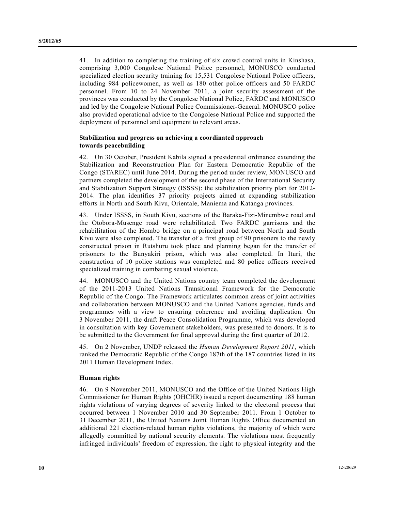41. In addition to completing the training of six crowd control units in Kinshasa, comprising 3,000 Congolese National Police personnel, MONUSCO conducted specialized election security training for 15,531 Congolese National Police officers, including 984 policewomen, as well as 180 other police officers and 50 FARDC personnel. From 10 to 24 November 2011, a joint security assessment of the provinces was conducted by the Congolese National Police, FARDC and MONUSCO and led by the Congolese National Police Commissioner-General. MONUSCO police also provided operational advice to the Congolese National Police and supported the deployment of personnel and equipment to relevant areas.

## **Stabilization and progress on achieving a coordinated approach towards peacebuilding**

42. On 30 October, President Kabila signed a presidential ordinance extending the Stabilization and Reconstruction Plan for Eastern Democratic Republic of the Congo (STAREC) until June 2014. During the period under review, MONUSCO and partners completed the development of the second phase of the International Security and Stabilization Support Strategy (ISSSS): the stabilization priority plan for 2012- 2014. The plan identifies 37 priority projects aimed at expanding stabilization efforts in North and South Kivu, Orientale, Maniema and Katanga provinces.

43. Under ISSSS, in South Kivu, sections of the Baraka-Fizi-Minembwe road and the Otobora-Musenge road were rehabilitated. Two FARDC garrisons and the rehabilitation of the Hombo bridge on a principal road between North and South Kivu were also completed. The transfer of a first group of 90 prisoners to the newly constructed prison in Rutshuru took place and planning began for the transfer of prisoners to the Bunyakiri prison, which was also completed. In Ituri, the construction of 10 police stations was completed and 80 police officers received specialized training in combating sexual violence.

44. MONUSCO and the United Nations country team completed the development of the 2011-2013 United Nations Transitional Framework for the Democratic Republic of the Congo. The Framework articulates common areas of joint activities and collaboration between MONUSCO and the United Nations agencies, funds and programmes with a view to ensuring coherence and avoiding duplication. On 3 November 2011, the draft Peace Consolidation Programme, which was developed in consultation with key Government stakeholders, was presented to donors. It is to be submitted to the Government for final approval during the first quarter of 2012.

45. On 2 November, UNDP released the *Human Development Report 2011*, which ranked the Democratic Republic of the Congo 187th of the 187 countries listed in its 2011 Human Development Index.

## **Human rights**

46. On 9 November 2011, MONUSCO and the Office of the United Nations High Commissioner for Human Rights (OHCHR) issued a report documenting 188 human rights violations of varying degrees of severity linked to the electoral process that occurred between 1 November 2010 and 30 September 2011. From 1 October to 31 December 2011, the United Nations Joint Human Rights Office documented an additional 221 election-related human rights violations, the majority of which were allegedly committed by national security elements. The violations most frequently infringed individuals' freedom of expression, the right to physical integrity and the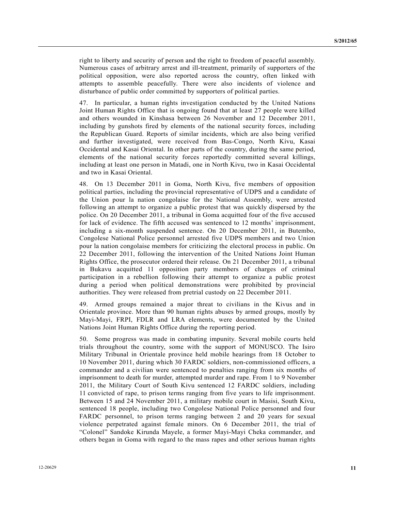right to liberty and security of person and the right to freedom of peaceful assembly. Numerous cases of arbitrary arrest and ill-treatment, primarily of supporters of the political opposition, were also reported across the country, often linked with attempts to assemble peacefully. There were also incidents of violence and disturbance of public order committed by supporters of political parties.

47. In particular, a human rights investigation conducted by the United Nations Joint Human Rights Office that is ongoing found that at least 27 people were killed and others wounded in Kinshasa between 26 November and 12 December 2011, including by gunshots fired by elements of the national security forces, including the Republican Guard. Reports of similar incidents, which are also being verified and further investigated, were received from Bas-Congo, North Kivu, Kasai Occidental and Kasai Oriental. In other parts of the country, during the same period, elements of the national security forces reportedly committed several killings, including at least one person in Matadi, one in North Kivu, two in Kasai Occidental and two in Kasai Oriental.

48. On 13 December 2011 in Goma, North Kivu, five members of opposition political parties, including the provincial representative of UDPS and a candidate of the Union pour la nation congolaise for the National Assembly, were arrested following an attempt to organize a public protest that was quickly dispersed by the police. On 20 December 2011, a tribunal in Goma acquitted four of the five accused for lack of evidence. The fifth accused was sentenced to 12 months' imprisonment, including a six-month suspended sentence. On 20 December 2011, in Butembo, Congolese National Police personnel arrested five UDPS members and two Union pour la nation congolaise members for criticizing the electoral process in public. On 22 December 2011, following the intervention of the United Nations Joint Human Rights Office, the prosecutor ordered their release. On 21 December 2011, a tribunal in Bukavu acquitted 11 opposition party members of charges of criminal participation in a rebellion following their attempt to organize a public protest during a period when political demonstrations were prohibited by provincial authorities. They were released from pretrial custody on 22 December 2011.

49. Armed groups remained a major threat to civilians in the Kivus and in Orientale province. More than 90 human rights abuses by armed groups, mostly by Mayi-Mayi, FRPI, FDLR and LRA elements, were documented by the United Nations Joint Human Rights Office during the reporting period.

50. Some progress was made in combating impunity. Several mobile courts held trials throughout the country, some with the support of MONUSCO. The Isiro Military Tribunal in Orientale province held mobile hearings from 18 October to 10 November 2011, during which 30 FARDC soldiers, non-commissioned officers, a commander and a civilian were sentenced to penalties ranging from six months of imprisonment to death for murder, attempted murder and rape. From 1 to 9 November 2011, the Military Court of South Kivu sentenced 12 FARDC soldiers, including 11 convicted of rape, to prison terms ranging from five years to life imprisonment. Between 15 and 24 November 2011, a military mobile court in Masisi, South Kivu, sentenced 18 people, including two Congolese National Police personnel and four FARDC personnel, to prison terms ranging between 2 and 20 years for sexual violence perpetrated against female minors. On 6 December 2011, the trial of "Colonel" Sandoke Kirunda Mayele, a former Mayi-Mayi Cheka commander, and others began in Goma with regard to the mass rapes and other serious human rights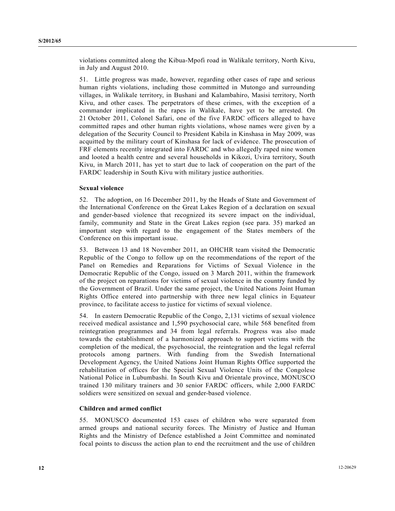violations committed along the Kibua-Mpofi road in Walikale territory, North Kivu, in July and August 2010.

51. Little progress was made, however, regarding other cases of rape and serious human rights violations, including those committed in Mutongo and surrounding villages, in Walikale territory, in Bushani and Kalambahiro, Masisi territory, North Kivu, and other cases. The perpetrators of these crimes, with the exception of a commander implicated in the rapes in Walikale, have yet to be arrested. On 21 October 2011, Colonel Safari, one of the five FARDC officers alleged to have committed rapes and other human rights violations, whose names were given by a delegation of the Security Council to President Kabila in Kinshasa in May 2009, was acquitted by the military court of Kinshasa for lack of evidence. The prosecution of FRF elements recently integrated into FARDC and who allegedly raped nine women and looted a health centre and several households in Kikozi, Uvira territory, South Kivu, in March 2011, has yet to start due to lack of cooperation on the part of the FARDC leadership in South Kivu with military justice authorities.

## **Sexual violence**

52. The adoption, on 16 December 2011, by the Heads of State and Government of the International Conference on the Great Lakes Region of a declaration on sexual and gender-based violence that recognized its severe impact on the individual, family, community and State in the Great Lakes region (see para. 35) marked an important step with regard to the engagement of the States members of the Conference on this important issue.

53. Between 13 and 18 November 2011, an OHCHR team visited the Democratic Republic of the Congo to follow up on the recommendations of the report of the Panel on Remedies and Reparations for Victims of Sexual Violence in the Democratic Republic of the Congo, issued on 3 March 2011, within the framework of the project on reparations for victims of sexual violence in the country funded by the Government of Brazil. Under the same project, the United Nations Joint Human Rights Office entered into partnership with three new legal clinics in Equateur province, to facilitate access to justice for victims of sexual violence.

54. In eastern Democratic Republic of the Congo, 2,131 victims of sexual violence received medical assistance and 1,590 psychosocial care, while 568 benefited from reintegration programmes and 34 from legal referrals. Progress was also made towards the establishment of a harmonized approach to support victims with the completion of the medical, the psychosocial, the reintegration and the legal referral protocols among partners. With funding from the Swedish International Development Agency, the United Nations Joint Human Rights Office supported the rehabilitation of offices for the Special Sexual Violence Units of the Congolese National Police in Lubumbashi. In South Kivu and Orientale province, MONUSCO trained 130 military trainers and 30 senior FARDC officers, while 2,000 FARDC soldiers were sensitized on sexual and gender-based violence.

#### **Children and armed conflict**

55. MONUSCO documented 153 cases of children who were separated from armed groups and national security forces. The Ministry of Justice and Human Rights and the Ministry of Defence established a Joint Committee and nominated focal points to discuss the action plan to end the recruitment and the use of children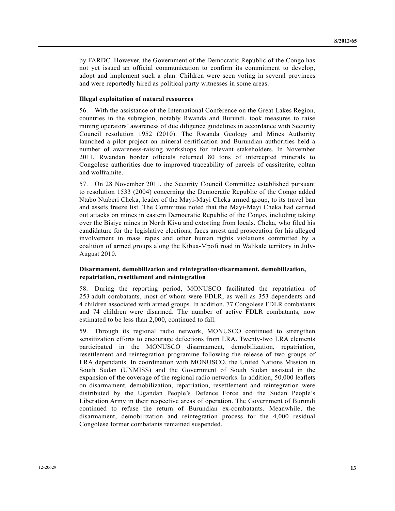by FARDC. However, the Government of the Democratic Republic of the Congo has not yet issued an official communication to confirm its commitment to develop, adopt and implement such a plan. Children were seen voting in several provinces and were reportedly hired as political party witnesses in some areas.

### **Illegal exploitation of natural resources**

56. With the assistance of the International Conference on the Great Lakes Region, countries in the subregion, notably Rwanda and Burundi, took measures to raise mining operators' awareness of due diligence guidelines in accordance with Security Council resolution 1952 (2010). The Rwanda Geology and Mines Authority launched a pilot project on mineral certification and Burundian authorities held a number of awareness-raising workshops for relevant stakeholders. In November 2011, Rwandan border officials returned 80 tons of intercepted minerals to Congolese authorities due to improved traceability of parcels of cassiterite, coltan and wolframite.

57. On 28 November 2011, the Security Council Committee established pursuant to resolution 1533 (2004) concerning the Democratic Republic of the Congo added Ntabo Ntaberi Cheka, leader of the Mayi-Mayi Cheka armed group, to its travel ban and assets freeze list. The Committee noted that the Mayi-Mayi Cheka had carried out attacks on mines in eastern Democratic Republic of the Congo, including taking over the Bisiye mines in North Kivu and extorting from locals. Cheka, who filed his candidature for the legislative elections, faces arrest and prosecution for his alleged involvement in mass rapes and other human rights violations committed by a coalition of armed groups along the Kibua-Mpofi road in Walikale territory in July-August 2010.

## **Disarmament, demobilization and reintegration/disarmament, demobilization, repatriation, resettlement and reintegration**

58. During the reporting period, MONUSCO facilitated the repatriation of 253 adult combatants, most of whom were FDLR, as well as 353 dependents and 4 children associated with armed groups. In addition, 77 Congolese FDLR combatants and 74 children were disarmed. The number of active FDLR combatants, now estimated to be less than 2,000, continued to fall.

59. Through its regional radio network, MONUSCO continued to strengthen sensitization efforts to encourage defections from LRA. Twenty-two LRA elements participated in the MONUSCO disarmament, demobilization, repatriation, resettlement and reintegration programme following the release of two groups of LRA dependants. In coordination with MONUSCO, the United Nations Mission in South Sudan (UNMISS) and the Government of South Sudan assisted in the expansion of the coverage of the regional radio networks. In addition, 50,000 leaflets on disarmament, demobilization, repatriation, resettlement and reintegration were distributed by the Ugandan People's Defence Force and the Sudan People's Liberation Army in their respective areas of operation. The Government of Burundi continued to refuse the return of Burundian ex-combatants. Meanwhile, the disarmament, demobilization and reintegration process for the 4,000 residual Congolese former combatants remained suspended.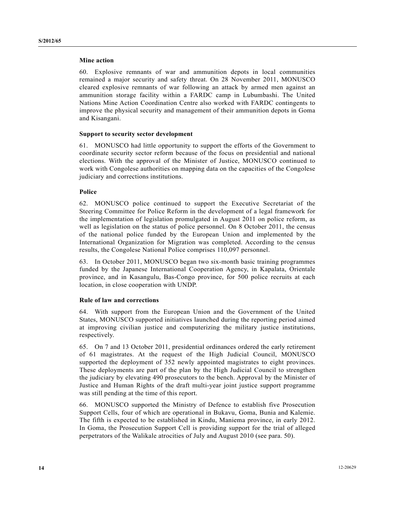### **Mine action**

60. Explosive remnants of war and ammunition depots in local communities remained a major security and safety threat. On 28 November 2011, MONUSCO cleared explosive remnants of war following an attack by armed men against an ammunition storage facility within a FARDC camp in Lubumbashi. The United Nations Mine Action Coordination Centre also worked with FARDC contingents to improve the physical security and management of their ammunition depots in Goma and Kisangani.

#### **Support to security sector development**

61. MONUSCO had little opportunity to support the efforts of the Government to coordinate security sector reform because of the focus on presidential and national elections. With the approval of the Minister of Justice, MONUSCO continued to work with Congolese authorities on mapping data on the capacities of the Congolese judiciary and corrections institutions.

#### **Police**

62. MONUSCO police continued to support the Executive Secretariat of the Steering Committee for Police Reform in the development of a legal framework for the implementation of legislation promulgated in August 2011 on police reform, as well as legislation on the status of police personnel. On 8 October 2011, the census of the national police funded by the European Union and implemented by the International Organization for Migration was completed. According to the census results, the Congolese National Police comprises 110,097 personnel.

63. In October 2011, MONUSCO began two six-month basic training programmes funded by the Japanese International Cooperation Agency, in Kapalata, Orientale province, and in Kasangulu, Bas-Congo province, for 500 police recruits at each location, in close cooperation with UNDP.

### **Rule of law and corrections**

64. With support from the European Union and the Government of the United States, MONUSCO supported initiatives launched during the reporting period aimed at improving civilian justice and computerizing the military justice institutions, respectively.

65. On 7 and 13 October 2011, presidential ordinances ordered the early retirement of 61 magistrates. At the request of the High Judicial Council, MONUSCO supported the deployment of 352 newly appointed magistrates to eight provinces. These deployments are part of the plan by the High Judicial Council to strengthen the judiciary by elevating 490 prosecutors to the bench. Approval by the Minister of Justice and Human Rights of the draft multi-year joint justice support programme was still pending at the time of this report.

66. MONUSCO supported the Ministry of Defence to establish five Prosecution Support Cells, four of which are operational in Bukavu, Goma, Bunia and Kalemie. The fifth is expected to be established in Kindu, Maniema province, in early 2012. In Goma, the Prosecution Support Cell is providing support for the trial of alleged perpetrators of the Walikale atrocities of July and August 2010 (see para. 50).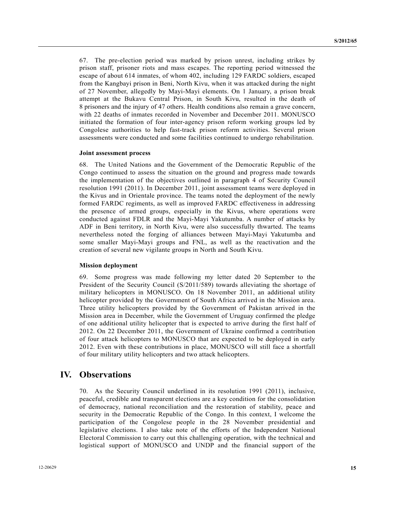67. The pre-election period was marked by prison unrest, including strikes by prison staff, prisoner riots and mass escapes. The reporting period witnessed the escape of about 614 inmates, of whom 402, including 129 FARDC soldiers, escaped from the Kangbayi prison in Beni, North Kivu, when it was attacked during the night of 27 November, allegedly by Mayi-Mayi elements. On 1 January, a prison break attempt at the Bukavu Central Prison, in South Kivu, resulted in the death of 8 prisoners and the injury of 47 others. Health conditions also remain a grave concern, with 22 deaths of inmates recorded in November and December 2011. MONUSCO initiated the formation of four inter-agency prison reform working groups led by Congolese authorities to help fast-track prison reform activities. Several prison assessments were conducted and some facilities continued to undergo rehabilitation.

#### **Joint assessment process**

68. The United Nations and the Government of the Democratic Republic of the Congo continued to assess the situation on the ground and progress made towards the implementation of the objectives outlined in paragraph 4 of Security Council resolution 1991 (2011). In December 2011, joint assessment teams were deployed in the Kivus and in Orientale province. The teams noted the deployment of the newly formed FARDC regiments, as well as improved FARDC effectiveness in addressing the presence of armed groups, especially in the Kivus, where operations were conducted against FDLR and the Mayi-Mayi Yakutumba. A number of attacks by ADF in Beni territory, in North Kivu, were also successfully thwarted. The teams nevertheless noted the forging of alliances between Mayi-Mayi Yakutumba and some smaller Mayi-Mayi groups and FNL, as well as the reactivation and the creation of several new vigilante groups in North and South Kivu.

#### **Mission deployment**

69. Some progress was made following my letter dated 20 September to the President of the Security Council (S/2011/589) towards alleviating the shortage of military helicopters in MONUSCO. On 18 November 2011, an additional utility helicopter provided by the Government of South Africa arrived in the Mission area. Three utility helicopters provided by the Government of Pakistan arrived in the Mission area in December, while the Government of Uruguay confirmed the pledge of one additional utility helicopter that is expected to arrive during the first half of 2012. On 22 December 2011, the Government of Ukraine confirmed a contribution of four attack helicopters to MONUSCO that are expected to be deployed in early 2012. Even with these contributions in place, MONUSCO will still face a shortfall of four military utility helicopters and two attack helicopters.

## **IV. Observations**

70. As the Security Council underlined in its resolution 1991 (2011), inclusive, peaceful, credible and transparent elections are a key condition for the consolidation of democracy, national reconciliation and the restoration of stability, peace and security in the Democratic Republic of the Congo. In this context, I welcome the participation of the Congolese people in the 28 November presidential and legislative elections. I also take note of the efforts of the Independent National Electoral Commission to carry out this challenging operation, with the technical and logistical support of MONUSCO and UNDP and the financial support of the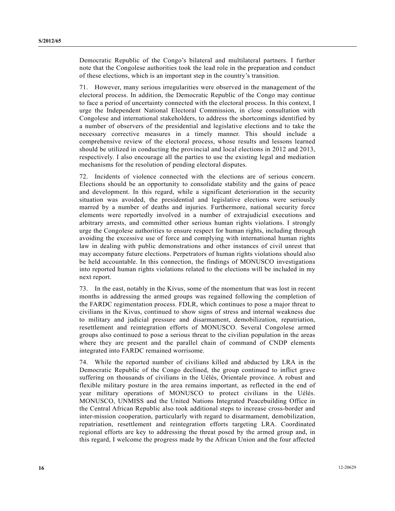Democratic Republic of the Congo's bilateral and multilateral partners. I further note that the Congolese authorities took the lead role in the preparation and conduct of these elections, which is an important step in the country's transition.

71. However, many serious irregularities were observed in the management of the electoral process. In addition, the Democratic Republic of the Congo may continue to face a period of uncertainty connected with the electoral process. In this context, I urge the Independent National Electoral Commission, in close consultation with Congolese and international stakeholders, to address the shortcomings identified by a number of observers of the presidential and legislative elections and to take the necessary corrective measures in a timely manner. This should include a comprehensive review of the electoral process, whose results and lessons learned should be utilized in conducting the provincial and local elections in 2012 and 2013, respectively. I also encourage all the parties to use the existing legal and mediation mechanisms for the resolution of pending electoral disputes.

72. Incidents of violence connected with the elections are of serious concern. Elections should be an opportunity to consolidate stability and the gains of peace and development. In this regard, while a significant deterioration in the security situation was avoided, the presidential and legislative elections were seriously marred by a number of deaths and injuries. Furthermore, national security force elements were reportedly involved in a number of extrajudicial executions and arbitrary arrests, and committed other serious human rights violations. I strongly urge the Congolese authorities to ensure respect for human rights, including through avoiding the excessive use of force and complying with international human rights law in dealing with public demonstrations and other instances of civil unrest that may accompany future elections. Perpetrators of human rights violations should also be held accountable. In this connection, the findings of MONUSCO investigations into reported human rights violations related to the elections will be included in my next report.

73. In the east, notably in the Kivus, some of the momentum that was lost in recent months in addressing the armed groups was regained following the completion of the FARDC regimentation process. FDLR, which continues to pose a major threat to civilians in the Kivus, continued to show signs of stress and internal weakness due to military and judicial pressure and disarmament, demobilization, repatriation, resettlement and reintegration efforts of MONUSCO. Several Congolese armed groups also continued to pose a serious threat to the civilian population in the areas where they are present and the parallel chain of command of CNDP elements integrated into FARDC remained worrisome.

74. While the reported number of civilians killed and abducted by LRA in the Democratic Republic of the Congo declined, the group continued to inflict grave suffering on thousands of civilians in the Uélés, Orientale province. A robust and flexible military posture in the area remains important, as reflected in the end of year military operations of MONUSCO to protect civilians in the Uélés. MONUSCO, UNMISS and the United Nations Integrated Peacebuilding Office in the Central African Republic also took additional steps to increase cross-border and inter-mission cooperation, particularly with regard to disarmament, demobilization, repatriation, resettlement and reintegration efforts targeting LRA. Coordinated regional efforts are key to addressing the threat posed by the armed group and, in this regard, I welcome the progress made by the African Union and the four affected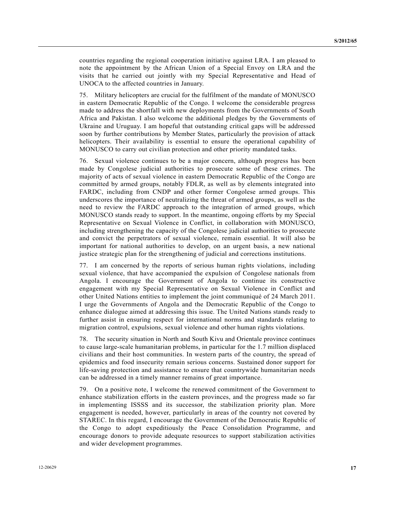countries regarding the regional cooperation initiative against LRA. I am pleased to note the appointment by the African Union of a Special Envoy on LRA and the visits that he carried out jointly with my Special Representative and Head of UNOCA to the affected countries in January.

75. Military helicopters are crucial for the fulfilment of the mandate of MONUSCO in eastern Democratic Republic of the Congo. I welcome the considerable progress made to address the shortfall with new deployments from the Governments of South Africa and Pakistan. I also welcome the additional pledges by the Governments of Ukraine and Uruguay. I am hopeful that outstanding critical gaps will be addressed soon by further contributions by Member States, particularly the provision of attack helicopters. Their availability is essential to ensure the operational capability of MONUSCO to carry out civilian protection and other priority mandated tasks.

76. Sexual violence continues to be a major concern, although progress has been made by Congolese judicial authorities to prosecute some of these crimes. The majority of acts of sexual violence in eastern Democratic Republic of the Congo are committed by armed groups, notably FDLR, as well as by elements integrated into FARDC, including from CNDP and other former Congolese armed groups. This underscores the importance of neutralizing the threat of armed groups, as well as the need to review the FARDC approach to the integration of armed groups, which MONUSCO stands ready to support. In the meantime, ongoing efforts by my Special Representative on Sexual Violence in Conflict, in collaboration with MONUSCO, including strengthening the capacity of the Congolese judicial authorities to prosecute and convict the perpetrators of sexual violence, remain essential. It will also be important for national authorities to develop, on an urgent basis, a new national justice strategic plan for the strengthening of judicial and corrections institutions.

77. I am concerned by the reports of serious human rights violations, including sexual violence, that have accompanied the expulsion of Congolese nationals from Angola. I encourage the Government of Angola to continue its constructive engagement with my Special Representative on Sexual Violence in Conflict and other United Nations entities to implement the joint communiqué of 24 March 2011. I urge the Governments of Angola and the Democratic Republic of the Congo to enhance dialogue aimed at addressing this issue. The United Nations stands ready to further assist in ensuring respect for international norms and standards relating to migration control, expulsions, sexual violence and other human rights violations.

78. The security situation in North and South Kivu and Orientale province continues to cause large-scale humanitarian problems, in particular for the 1.7 million displaced civilians and their host communities. In western parts of the country, the spread of epidemics and food insecurity remain serious concerns. Sustained donor support for life-saving protection and assistance to ensure that countrywide humanitarian needs can be addressed in a timely manner remains of great importance.

79. On a positive note, I welcome the renewed commitment of the Government to enhance stabilization efforts in the eastern provinces, and the progress made so far in implementing ISSSS and its successor, the stabilization priority plan. More engagement is needed, however, particularly in areas of the country not covered by STAREC. In this regard, I encourage the Government of the Democratic Republic of the Congo to adopt expeditiously the Peace Consolidation Programme, and encourage donors to provide adequate resources to support stabilization activities and wider development programmes.